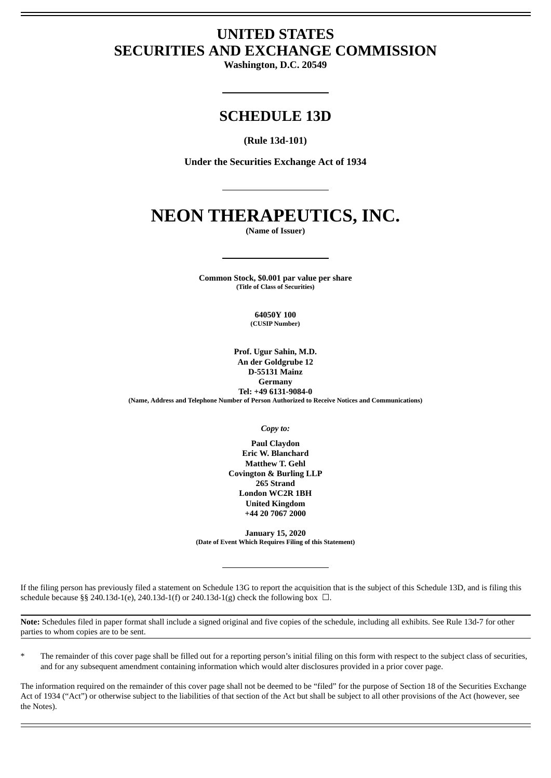# **UNITED STATES SECURITIES AND EXCHANGE COMMISSION**

**Washington, D.C. 20549**

## **SCHEDULE 13D**

**(Rule 13d-101)**

**Under the Securities Exchange Act of 1934**

# **NEON THERAPEUTICS, INC.**

**(Name of Issuer)**

**Common Stock, \$0.001 par value per share (Title of Class of Securities)**

> **64050Y 100 (CUSIP Number)**

**Prof. Ugur Sahin, M.D. An der Goldgrube 12 D-55131 Mainz Germany Tel: +49 6131-9084-0 (Name, Address and Telephone Number of Person Authorized to Receive Notices and Communications)**

*Copy to:*

**Paul Claydon Eric W. Blanchard Matthew T. Gehl Covington & Burling LLP 265 Strand London WC2R 1BH United Kingdom +44 20 7067 2000**

**January 15, 2020 (Date of Event Which Requires Filing of this Statement)**

If the filing person has previously filed a statement on Schedule 13G to report the acquisition that is the subject of this Schedule 13D, and is filing this schedule because §§ 240.13d-1(e), 240.13d-1(f) or 240.13d-1(g) check the following box  $\Box$ .

**Note:** Schedules filed in paper format shall include a signed original and five copies of the schedule, including all exhibits. See Rule 13d-7 for other parties to whom copies are to be sent.

\* The remainder of this cover page shall be filled out for a reporting person's initial filing on this form with respect to the subject class of securities, and for any subsequent amendment containing information which would alter disclosures provided in a prior cover page.

The information required on the remainder of this cover page shall not be deemed to be "filed" for the purpose of Section 18 of the Securities Exchange Act of 1934 ("Act") or otherwise subject to the liabilities of that section of the Act but shall be subject to all other provisions of the Act (however, see the Notes).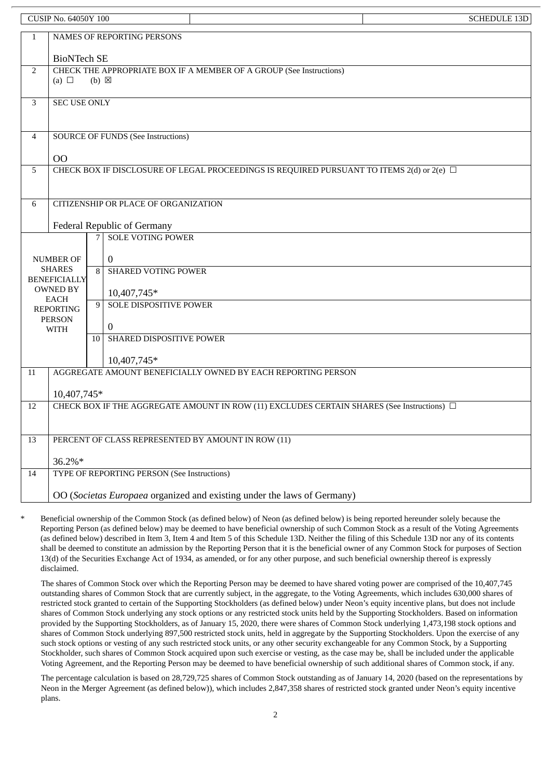|                                                                         | CUSIP No. 64050Y 100              |                                             |                                                                                                    | <b>SCHEDULE 13D</b> |
|-------------------------------------------------------------------------|-----------------------------------|---------------------------------------------|----------------------------------------------------------------------------------------------------|---------------------|
| $\mathbf{1}$                                                            | <b>NAMES OF REPORTING PERSONS</b> |                                             |                                                                                                    |                     |
|                                                                         | <b>BioNTech SE</b>                |                                             |                                                                                                    |                     |
| 2                                                                       | (a) $\Box$                        | $(b) \boxtimes$                             | CHECK THE APPROPRIATE BOX IF A MEMBER OF A GROUP (See Instructions)                                |                     |
| 3                                                                       | <b>SEC USE ONLY</b>               |                                             |                                                                                                    |                     |
|                                                                         |                                   |                                             |                                                                                                    |                     |
| 4                                                                       |                                   | <b>SOURCE OF FUNDS (See Instructions)</b>   |                                                                                                    |                     |
|                                                                         | 00                                |                                             |                                                                                                    |                     |
| 5                                                                       |                                   |                                             | CHECK BOX IF DISCLOSURE OF LEGAL PROCEEDINGS IS REQUIRED PURSUANT TO ITEMS 2(d) or 2(e) $\Box$     |                     |
|                                                                         |                                   |                                             |                                                                                                    |                     |
| 6                                                                       |                                   | CITIZENSHIP OR PLACE OF ORGANIZATION        |                                                                                                    |                     |
|                                                                         |                                   | Federal Republic of Germany                 |                                                                                                    |                     |
|                                                                         |                                   | <b>SOLE VOTING POWER</b><br>$\overline{7}$  |                                                                                                    |                     |
| <b>NUMBER OF</b><br>$\bf{0}$                                            |                                   |                                             |                                                                                                    |                     |
| <b>SHARES</b><br><b>SHARED VOTING POWER</b><br>8<br><b>BENEFICIALLY</b> |                                   |                                             |                                                                                                    |                     |
| <b>OWNED BY</b><br>10,407,745*                                          |                                   |                                             |                                                                                                    |                     |
|                                                                         | <b>EACH</b><br><b>REPORTING</b>   | <b>SOLE DISPOSITIVE POWER</b><br>9          |                                                                                                    |                     |
|                                                                         | <b>PERSON</b>                     | $\bf{0}$                                    |                                                                                                    |                     |
|                                                                         | <b>WITH</b>                       | SHARED DISPOSITIVE POWER<br>10 <sup>1</sup> |                                                                                                    |                     |
|                                                                         |                                   | 10,407,745*                                 |                                                                                                    |                     |
| 11                                                                      |                                   |                                             | AGGREGATE AMOUNT BENEFICIALLY OWNED BY EACH REPORTING PERSON                                       |                     |
|                                                                         | 10,407,745*                       |                                             |                                                                                                    |                     |
| 12                                                                      |                                   |                                             | CHECK BOX IF THE AGGREGATE AMOUNT IN ROW (11) EXCLUDES CERTAIN SHARES (See Instructions) $\square$ |                     |
|                                                                         |                                   |                                             |                                                                                                    |                     |
| 13                                                                      |                                   |                                             | PERCENT OF CLASS REPRESENTED BY AMOUNT IN ROW (11)                                                 |                     |
|                                                                         | 36.2%*                            |                                             |                                                                                                    |                     |
| 14                                                                      |                                   | TYPE OF REPORTING PERSON (See Instructions) |                                                                                                    |                     |
|                                                                         |                                   |                                             | OO (Societas Europaea organized and existing under the laws of Germany)                            |                     |

Beneficial ownership of the Common Stock (as defined below) of Neon (as defined below) is being reported hereunder solely because the Reporting Person (as defined below) may be deemed to have beneficial ownership of such Common Stock as a result of the Voting Agreements (as defined below) described in Item 3, Item 4 and Item 5 of this Schedule 13D. Neither the filing of this Schedule 13D nor any of its contents shall be deemed to constitute an admission by the Reporting Person that it is the beneficial owner of any Common Stock for purposes of Section 13(d) of the Securities Exchange Act of 1934, as amended, or for any other purpose, and such beneficial ownership thereof is expressly disclaimed.

The shares of Common Stock over which the Reporting Person may be deemed to have shared voting power are comprised of the 10,407,745 outstanding shares of Common Stock that are currently subject, in the aggregate, to the Voting Agreements, which includes 630,000 shares of restricted stock granted to certain of the Supporting Stockholders (as defined below) under Neon's equity incentive plans, but does not include shares of Common Stock underlying any stock options or any restricted stock units held by the Supporting Stockholders. Based on information provided by the Supporting Stockholders, as of January 15, 2020, there were shares of Common Stock underlying 1,473,198 stock options and shares of Common Stock underlying 897,500 restricted stock units, held in aggregate by the Supporting Stockholders. Upon the exercise of any such stock options or vesting of any such restricted stock units, or any other security exchangeable for any Common Stock, by a Supporting Stockholder, such shares of Common Stock acquired upon such exercise or vesting, as the case may be, shall be included under the applicable Voting Agreement, and the Reporting Person may be deemed to have beneficial ownership of such additional shares of Common stock, if any.

The percentage calculation is based on 28,729,725 shares of Common Stock outstanding as of January 14, 2020 (based on the representations by Neon in the Merger Agreement (as defined below)), which includes 2,847,358 shares of restricted stock granted under Neon's equity incentive plans.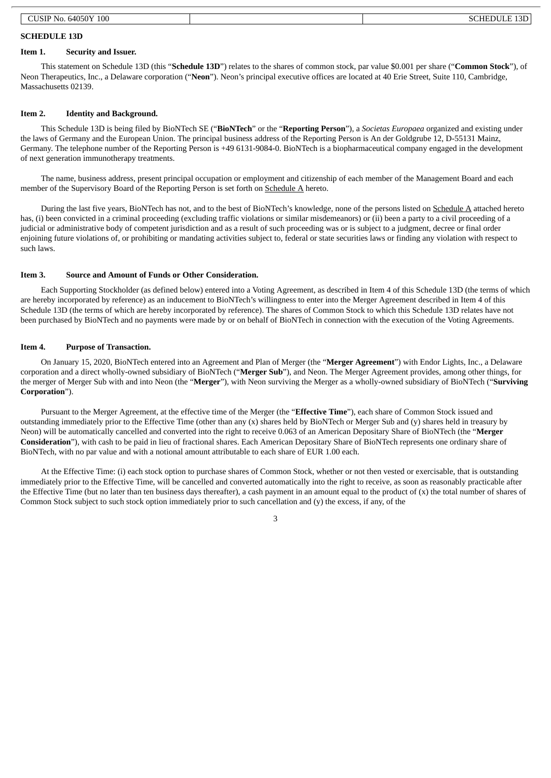| $T$ IL.                        | $\sim$ $\sim$ $\sim$ |
|--------------------------------|----------------------|
| 100<br>.64050Y<br>NO.<br>5 I F | п<br>י<br>⊥ാ്        |
|                                |                      |

#### **SCHEDULE 13D**

#### **Item 1. Security and Issuer.**

This statement on Schedule 13D (this "**Schedule 13D**") relates to the shares of common stock, par value \$0.001 per share ("**Common Stock**"), of Neon Therapeutics, Inc., a Delaware corporation ("**Neon**"). Neon's principal executive offices are located at 40 Erie Street, Suite 110, Cambridge, Massachusetts 02139.

#### **Item 2. Identity and Background.**

This Schedule 13D is being filed by BioNTech SE ("**BioNTech**" or the "**Reporting Person**"), a *Societas Europaea* organized and existing under the laws of Germany and the European Union. The principal business address of the Reporting Person is An der Goldgrube 12, D-55131 Mainz, Germany. The telephone number of the Reporting Person is +49 6131-9084-0. BioNTech is a biopharmaceutical company engaged in the development of next generation immunotherapy treatments.

The name, business address, present principal occupation or employment and citizenship of each member of the Management Board and each member of the Supervisory Board of the Reporting Person is set forth on Schedule A hereto.

During the last five years, BioNTech has not, and to the best of BioNTech's knowledge, none of the persons listed on Schedule A attached hereto has, (i) been convicted in a criminal proceeding (excluding traffic violations or similar misdemeanors) or (ii) been a party to a civil proceeding of a judicial or administrative body of competent jurisdiction and as a result of such proceeding was or is subject to a judgment, decree or final order enjoining future violations of, or prohibiting or mandating activities subject to, federal or state securities laws or finding any violation with respect to such laws.

#### **Item 3. Source and Amount of Funds or Other Consideration.**

Each Supporting Stockholder (as defined below) entered into a Voting Agreement, as described in Item 4 of this Schedule 13D (the terms of which are hereby incorporated by reference) as an inducement to BioNTech's willingness to enter into the Merger Agreement described in Item 4 of this Schedule 13D (the terms of which are hereby incorporated by reference). The shares of Common Stock to which this Schedule 13D relates have not been purchased by BioNTech and no payments were made by or on behalf of BioNTech in connection with the execution of the Voting Agreements.

#### **Item 4. Purpose of Transaction.**

On January 15, 2020, BioNTech entered into an Agreement and Plan of Merger (the "**Merger Agreement**") with Endor Lights, Inc., a Delaware corporation and a direct wholly-owned subsidiary of BioNTech ("**Merger Sub**"), and Neon. The Merger Agreement provides, among other things, for the merger of Merger Sub with and into Neon (the "**Merger**"), with Neon surviving the Merger as a wholly-owned subsidiary of BioNTech ("**Surviving Corporation**").

Pursuant to the Merger Agreement, at the effective time of the Merger (the "**Effective Time**"), each share of Common Stock issued and outstanding immediately prior to the Effective Time (other than any (x) shares held by BioNTech or Merger Sub and (y) shares held in treasury by Neon) will be automatically cancelled and converted into the right to receive 0.063 of an American Depositary Share of BioNTech (the "**Merger Consideration**"), with cash to be paid in lieu of fractional shares. Each American Depositary Share of BioNTech represents one ordinary share of BioNTech, with no par value and with a notional amount attributable to each share of EUR 1.00 each.

At the Effective Time: (i) each stock option to purchase shares of Common Stock, whether or not then vested or exercisable, that is outstanding immediately prior to the Effective Time, will be cancelled and converted automatically into the right to receive, as soon as reasonably practicable after the Effective Time (but no later than ten business days thereafter), a cash payment in an amount equal to the product of  $(x)$  the total number of shares of Common Stock subject to such stock option immediately prior to such cancellation and (y) the excess, if any, of the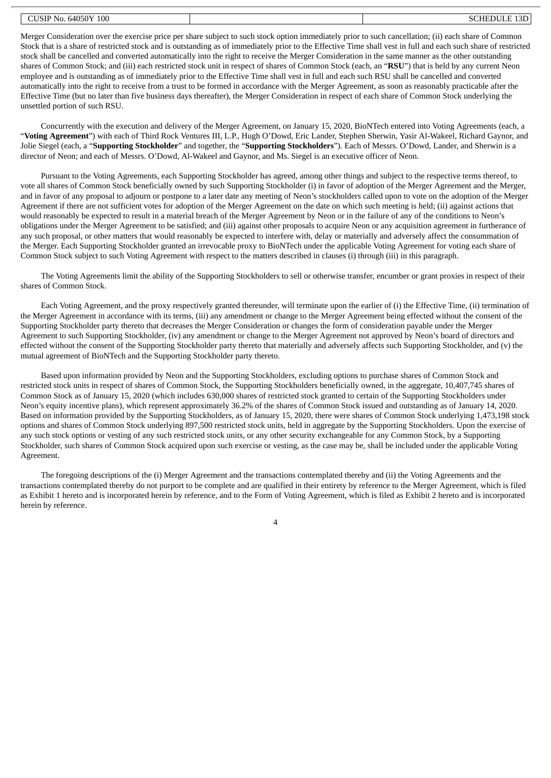| <b>CUSIP No. 64050Y 100</b> | <b>SCHEDULE 13D</b> |
|-----------------------------|---------------------|

Merger Consideration over the exercise price per share subject to such stock option immediately prior to such cancellation; (ii) each share of Common Stock that is a share of restricted stock and is outstanding as of immediately prior to the Effective Time shall vest in full and each such share of restricted stock shall be cancelled and converted automatically into the right to receive the Merger Consideration in the same manner as the other outstanding shares of Common Stock; and (iii) each restricted stock unit in respect of shares of Common Stock (each, an "**RSU**") that is held by any current Neon employee and is outstanding as of immediately prior to the Effective Time shall vest in full and each such RSU shall be cancelled and converted automatically into the right to receive from a trust to be formed in accordance with the Merger Agreement, as soon as reasonably practicable after the Effective Time (but no later than five business days thereafter), the Merger Consideration in respect of each share of Common Stock underlying the unsettled portion of such RSU.

Concurrently with the execution and delivery of the Merger Agreement, on January 15, 2020, BioNTech entered into Voting Agreements (each, a "**Voting Agreement**") with each of Third Rock Ventures III, L.P., Hugh O'Dowd, Eric Lander, Stephen Sherwin, Yasir Al-Wakeel, Richard Gaynor, and Jolie Siegel (each, a "**Supporting Stockholder**" and together, the "**Supporting Stockholders**"). Each of Messrs. O'Dowd, Lander, and Sherwin is a director of Neon; and each of Messrs. O'Dowd, Al-Wakeel and Gaynor, and Ms. Siegel is an executive officer of Neon.

Pursuant to the Voting Agreements, each Supporting Stockholder has agreed, among other things and subject to the respective terms thereof, to vote all shares of Common Stock beneficially owned by such Supporting Stockholder (i) in favor of adoption of the Merger Agreement and the Merger, and in favor of any proposal to adjourn or postpone to a later date any meeting of Neon's stockholders called upon to vote on the adoption of the Merger Agreement if there are not sufficient votes for adoption of the Merger Agreement on the date on which such meeting is held; (ii) against actions that would reasonably be expected to result in a material breach of the Merger Agreement by Neon or in the failure of any of the conditions to Neon's obligations under the Merger Agreement to be satisfied; and (iii) against other proposals to acquire Neon or any acquisition agreement in furtherance of any such proposal, or other matters that would reasonably be expected to interfere with, delay or materially and adversely affect the consummation of the Merger. Each Supporting Stockholder granted an irrevocable proxy to BioNTech under the applicable Voting Agreement for voting each share of Common Stock subject to such Voting Agreement with respect to the matters described in clauses (i) through (iii) in this paragraph.

The Voting Agreements limit the ability of the Supporting Stockholders to sell or otherwise transfer, encumber or grant proxies in respect of their shares of Common Stock.

Each Voting Agreement, and the proxy respectively granted thereunder, will terminate upon the earlier of (i) the Effective Time, (ii) termination of the Merger Agreement in accordance with its terms, (iii) any amendment or change to the Merger Agreement being effected without the consent of the Supporting Stockholder party thereto that decreases the Merger Consideration or changes the form of consideration payable under the Merger Agreement to such Supporting Stockholder, (iv) any amendment or change to the Merger Agreement not approved by Neon's board of directors and effected without the consent of the Supporting Stockholder party thereto that materially and adversely affects such Supporting Stockholder, and (v) the mutual agreement of BioNTech and the Supporting Stockholder party thereto.

Based upon information provided by Neon and the Supporting Stockholders, excluding options to purchase shares of Common Stock and restricted stock units in respect of shares of Common Stock, the Supporting Stockholders beneficially owned, in the aggregate, 10,407,745 shares of Common Stock as of January 15, 2020 (which includes 630,000 shares of restricted stock granted to certain of the Supporting Stockholders under Neon's equity incentive plans), which represent approximately 36.2% of the shares of Common Stock issued and outstanding as of January 14, 2020. Based on information provided by the Supporting Stockholders, as of January 15, 2020, there were shares of Common Stock underlying 1,473,198 stock options and shares of Common Stock underlying 897,500 restricted stock units, held in aggregate by the Supporting Stockholders. Upon the exercise of any such stock options or vesting of any such restricted stock units, or any other security exchangeable for any Common Stock, by a Supporting Stockholder, such shares of Common Stock acquired upon such exercise or vesting, as the case may be, shall be included under the applicable Voting Agreement.

The foregoing descriptions of the (i) Merger Agreement and the transactions contemplated thereby and (ii) the Voting Agreements and the transactions contemplated thereby do not purport to be complete and are qualified in their entirety by reference to the Merger Agreement, which is filed as Exhibit 1 hereto and is incorporated herein by reference, and to the Form of Voting Agreement, which is filed as Exhibit 2 hereto and is incorporated herein by reference.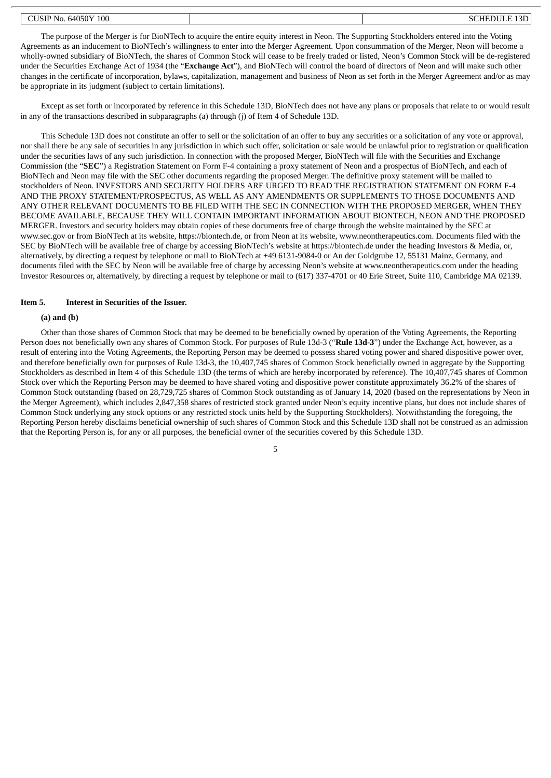| 64050Y<br>100<br>CUSIP<br>NO. | <b>SCHEDULE</b><br>1.2 <sub>D</sub><br>TOD.<br>___ |
|-------------------------------|----------------------------------------------------|

The purpose of the Merger is for BioNTech to acquire the entire equity interest in Neon. The Supporting Stockholders entered into the Voting Agreements as an inducement to BioNTech's willingness to enter into the Merger Agreement. Upon consummation of the Merger, Neon will become a wholly-owned subsidiary of BioNTech, the shares of Common Stock will cease to be freely traded or listed, Neon's Common Stock will be de-registered under the Securities Exchange Act of 1934 (the "**Exchange Act**"), and BioNTech will control the board of directors of Neon and will make such other changes in the certificate of incorporation, bylaws, capitalization, management and business of Neon as set forth in the Merger Agreement and/or as may be appropriate in its judgment (subject to certain limitations).

Except as set forth or incorporated by reference in this Schedule 13D, BioNTech does not have any plans or proposals that relate to or would result in any of the transactions described in subparagraphs (a) through (j) of Item 4 of Schedule 13D.

This Schedule 13D does not constitute an offer to sell or the solicitation of an offer to buy any securities or a solicitation of any vote or approval, nor shall there be any sale of securities in any jurisdiction in which such offer, solicitation or sale would be unlawful prior to registration or qualification under the securities laws of any such jurisdiction. In connection with the proposed Merger, BioNTech will file with the Securities and Exchange Commission (the "**SEC**") a Registration Statement on Form F-4 containing a proxy statement of Neon and a prospectus of BioNTech, and each of BioNTech and Neon may file with the SEC other documents regarding the proposed Merger. The definitive proxy statement will be mailed to stockholders of Neon. INVESTORS AND SECURITY HOLDERS ARE URGED TO READ THE REGISTRATION STATEMENT ON FORM F-4 AND THE PROXY STATEMENT/PROSPECTUS, AS WELL AS ANY AMENDMENTS OR SUPPLEMENTS TO THOSE DOCUMENTS AND ANY OTHER RELEVANT DOCUMENTS TO BE FILED WITH THE SEC IN CONNECTION WITH THE PROPOSED MERGER, WHEN THEY BECOME AVAILABLE, BECAUSE THEY WILL CONTAIN IMPORTANT INFORMATION ABOUT BIONTECH, NEON AND THE PROPOSED MERGER. Investors and security holders may obtain copies of these documents free of charge through the website maintained by the SEC at www.sec.gov or from BioNTech at its website, https://biontech.de, or from Neon at its website, www.neontherapeutics.com. Documents filed with the SEC by BioNTech will be available free of charge by accessing BioNTech's website at https://biontech.de under the heading Investors & Media, or, alternatively, by directing a request by telephone or mail to BioNTech at +49 6131-9084-0 or An der Goldgrube 12, 55131 Mainz, Germany, and documents filed with the SEC by Neon will be available free of charge by accessing Neon's website at www.neontherapeutics.com under the heading Investor Resources or, alternatively, by directing a request by telephone or mail to (617) 337-4701 or 40 Erie Street, Suite 110, Cambridge MA 02139.

#### **Item 5. Interest in Securities of the Issuer.**

#### **(a) and (b)**

Other than those shares of Common Stock that may be deemed to be beneficially owned by operation of the Voting Agreements, the Reporting Person does not beneficially own any shares of Common Stock. For purposes of Rule 13d-3 ("**Rule 13d-3**") under the Exchange Act, however, as a result of entering into the Voting Agreements, the Reporting Person may be deemed to possess shared voting power and shared dispositive power over, and therefore beneficially own for purposes of Rule 13d-3, the 10,407,745 shares of Common Stock beneficially owned in aggregate by the Supporting Stockholders as described in Item 4 of this Schedule 13D (the terms of which are hereby incorporated by reference). The 10,407,745 shares of Common Stock over which the Reporting Person may be deemed to have shared voting and dispositive power constitute approximately 36.2% of the shares of Common Stock outstanding (based on 28,729,725 shares of Common Stock outstanding as of January 14, 2020 (based on the representations by Neon in the Merger Agreement), which includes 2,847,358 shares of restricted stock granted under Neon's equity incentive plans, but does not include shares of Common Stock underlying any stock options or any restricted stock units held by the Supporting Stockholders). Notwithstanding the foregoing, the Reporting Person hereby disclaims beneficial ownership of such shares of Common Stock and this Schedule 13D shall not be construed as an admission that the Reporting Person is, for any or all purposes, the beneficial owner of the securities covered by this Schedule 13D.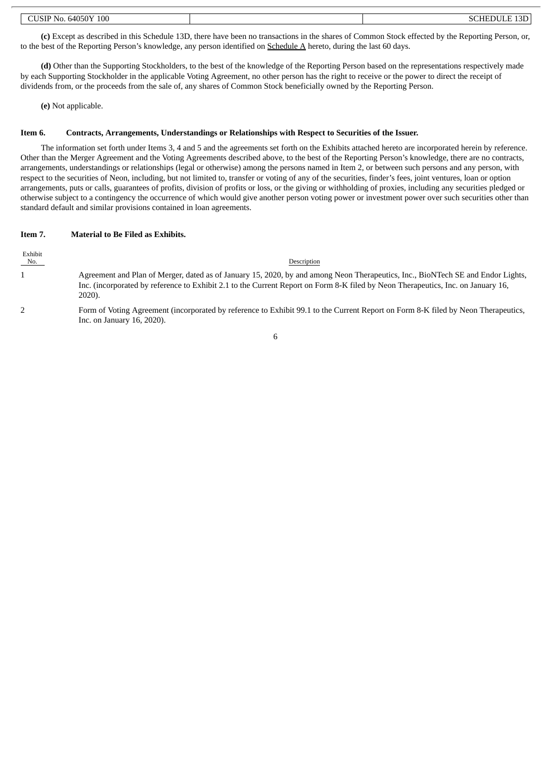| $10F^{\text{AT}}$<br>$T$ IL.<br>100<br>6405<br>INO.<br>۱۱.۱۱۲<br><b>ענ</b><br>.<br>_ _ _ | $\overline{\phantom{a}}$<br>(I )I J<br>HF<br>יי<br>∶ שכ⊾<br>____ |
|------------------------------------------------------------------------------------------|------------------------------------------------------------------|
|                                                                                          |                                                                  |

**(c)** Except as described in this Schedule 13D, there have been no transactions in the shares of Common Stock effected by the Reporting Person, or, to the best of the Reporting Person's knowledge, any person identified on Schedule A hereto, during the last 60 days.

**(d)** Other than the Supporting Stockholders, to the best of the knowledge of the Reporting Person based on the representations respectively made by each Supporting Stockholder in the applicable Voting Agreement, no other person has the right to receive or the power to direct the receipt of dividends from, or the proceeds from the sale of, any shares of Common Stock beneficially owned by the Reporting Person.

**(e)** Not applicable.

#### **Item 6. Contracts, Arrangements, Understandings or Relationships with Respect to Securities of the Issuer.**

The information set forth under Items 3, 4 and 5 and the agreements set forth on the Exhibits attached hereto are incorporated herein by reference. Other than the Merger Agreement and the Voting Agreements described above, to the best of the Reporting Person's knowledge, there are no contracts, arrangements, understandings or relationships (legal or otherwise) among the persons named in Item 2, or between such persons and any person, with respect to the securities of Neon, including, but not limited to, transfer or voting of any of the securities, finder's fees, joint ventures, loan or option arrangements, puts or calls, guarantees of profits, division of profits or loss, or the giving or withholding of proxies, including any securities pledged or otherwise subject to a contingency the occurrence of which would give another person voting power or investment power over such securities other than standard default and similar provisions contained in loan agreements.

#### **Item 7. Material to Be Filed as Exhibits.**

| Exhibit<br>No. | Description                                                                                                                                                                                                                                                                   |
|----------------|-------------------------------------------------------------------------------------------------------------------------------------------------------------------------------------------------------------------------------------------------------------------------------|
|                | Agreement and Plan of Merger, dated as of January 15, 2020, by and among Neon Therapeutics, Inc., BioNTech SE and Endor Lights,<br>Inc. (incorporated by reference to Exhibit 2.1 to the Current Report on Form 8-K filed by Neon Therapeutics, Inc. on January 16,<br>2020). |
|                | $- - -$<br>_ _<br>$-$                                                                                                                                                                                                                                                         |

2 Form of Voting Agreement (incorporated by reference to Exhibit 99.1 to the Current Report on Form 8-K filed by Neon Therapeutics, Inc. on January 16, 2020).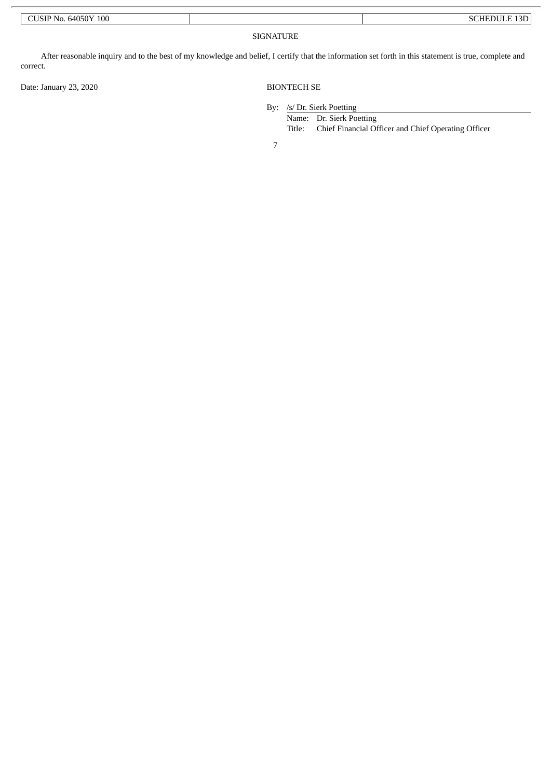| 100<br>. 64050Y<br>CUSIP No. |                     | $\sqrt{2}$<br>нн<br>3D<br>.<br>11. |
|------------------------------|---------------------|------------------------------------|
|                              | STC.<br>∸N⊫<br>IK H |                                    |

After reasonable inquiry and to the best of my knowledge and belief, I certify that the information set forth in this statement is true, complete and correct.

Date: January 23, 2020 BIONTECH SE

By: /s/ Dr. Sierk Poetting

Name: Dr. Sierk Poetting Title: Chief Financial Officer and Chief Operating Officer